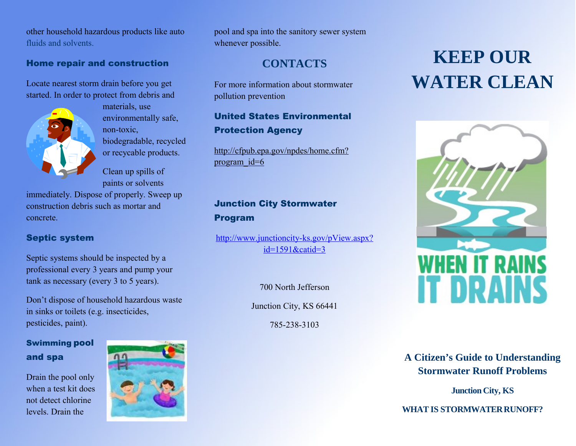other household hazardous products like auto fluids and solvents.

#### Home repair and construction

Locate nearest storm drain before you get started. In order to protect from debris and



materials, use environmentally safe, non-toxic, biodegradable, recycled or recycable products.

Clean up spills of paints or solvents

immediately. Dispose of properly. Sweep up construction debris such as mortar and concrete.

#### Septic system

Septic systems should be inspected by a professional every 3 years and pump your tank as necessary (every 3 to 5 years).

Don't dispose of household hazardous waste in sinks or toilets (e.g. insecticides, pesticides, paint).

## Swimming pool and spa

Drain the pool only when a test kit does not detect chlorine levels. Drain the



pool and spa into the sanitory sewer system whenever possible.

## **CONTACTS**

For more information about stormwater pollution prevention

## United States Environmental Protection Agency

http://cfpub.epa.gov/npdes/home.cfm? program\_id=6

## Junction City Stormwater Program

[http://www.junctioncity-ks.gov/pView.aspx?](http://www.junctioncity-ks.gov/pView.aspx?id=1591&catid=3) [id=1591&catid=3](http://www.junctioncity-ks.gov/pView.aspx?id=1591&catid=3)

700 North Jefferson

Junction City, KS 66441

785-238-3103

# **KEEP OUR WATER CLEAN**



## **A Citizen's Guide to Understanding Stormwater Runoff Problems**

**Junction City, KS**

**WHAT IS STORMWATER RUNOFF?**